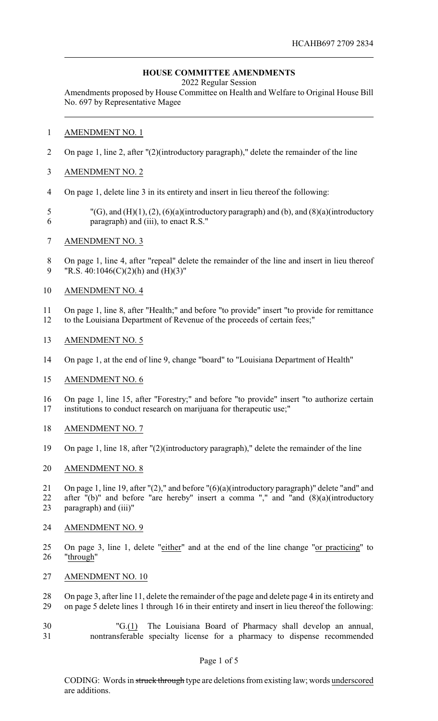# **HOUSE COMMITTEE AMENDMENTS**

2022 Regular Session

Amendments proposed by House Committee on Health and Welfare to Original House Bill No. 697 by Representative Magee

## AMENDMENT NO. 1

- On page 1, line 2, after "(2)(introductory paragraph)," delete the remainder of the line
- AMENDMENT NO. 2
- On page 1, delete line 3 in its entirety and insert in lieu thereof the following:
- "(G), and (H)(1), (2), (6)(a)(introductory paragraph) and (b), and (8)(a)(introductory paragraph) and (iii), to enact R.S."
- AMENDMENT NO. 3
- On page 1, line 4, after "repeal" delete the remainder of the line and insert in lieu thereof 9 "R.S.  $40:1046(C)(2)(h)$  and  $(H)(3)$ "
- AMENDMENT NO. 4
- On page 1, line 8, after "Health;" and before "to provide" insert "to provide for remittance to the Louisiana Department of Revenue of the proceeds of certain fees;"
- AMENDMENT NO. 5
- On page 1, at the end of line 9, change "board" to "Louisiana Department of Health"
- AMENDMENT NO. 6
- On page 1, line 15, after "Forestry;" and before "to provide" insert "to authorize certain institutions to conduct research on marijuana for therapeutic use;"
- AMENDMENT NO. 7
- On page 1, line 18, after "(2)(introductory paragraph)," delete the remainder of the line
- AMENDMENT NO. 8
- On page 1, line 19, after "(2)," and before "(6)(a)(introductory paragraph)" delete "and" and after "(b)" and before "are hereby" insert a comma "," and "and (8)(a)(introductory paragraph) and (iii)"
- AMENDMENT NO. 9
- On page 3, line 1, delete "either" and at the end of the line change "or practicing" to "through"
- AMENDMENT NO. 10
- On page 3, after line 11, delete the remainder of the page and delete page 4 in its entirety and on page 5 delete lines 1 through 16 in their entirety and insert in lieu thereof the following:
- "G.(1) The Louisiana Board of Pharmacy shall develop an annual, nontransferable specialty license for a pharmacy to dispense recommended

### Page 1 of 5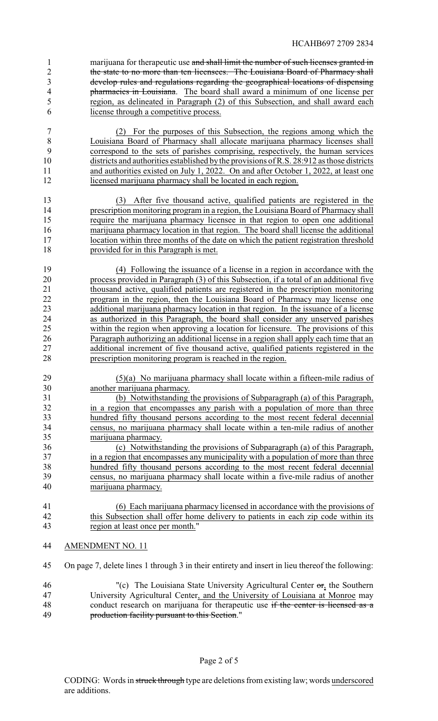1 marijuana for therapeutic use and shall limit the number of such licenses granted in the state to no more than ten licensees. The Louisiana Board of Pharmacy shall develop rules and regulations regarding the geographical locations of dispensing pharmacies in Louisiana. The board shall award a minimum of one license per region, as delineated in Paragraph (2) of this Subsection, and shall award each license through a competitive process.

 (2) For the purposes of this Subsection, the regions among which the Louisiana Board of Pharmacy shall allocate marijuana pharmacy licenses shall correspond to the sets of parishes comprising, respectively, the human services districts and authorities established bythe provisions of R.S. 28:912 as those districts and authorities existed on July 1, 2022. On and after October 1, 2022, at least one 12 licensed marijuana pharmacy shall be located in each region.

 (3) After five thousand active, qualified patients are registered in the 14 prescription monitoring program in a region, the Louisiana Board of Pharmacy shall require the marijuana pharmacy licensee in that region to open one additional marijuana pharmacy location in that region. The board shall license the additional location within three months of the date on which the patient registration threshold provided for in this Paragraph is met.

 (4) Following the issuance of a license in a region in accordance with the process provided in Paragraph (3) of this Subsection, if a total of an additional five 21 thousand active, qualified patients are registered in the prescription monitoring<br>22 thousand in the region, then the Louisiana Board of Pharmacy may license one program in the region, then the Louisiana Board of Pharmacy may license one additional marijuana pharmacy location in that region. In the issuance of a license as authorized in this Paragraph, the board shall consider any unserved parishes within the region when approving a location for licensure. The provisions of this Paragraph authorizing an additional license in a region shall apply each time that an additional increment of five thousand active, qualified patients registered in the prescription monitoring program is reached in the region.

 (5)(a) No marijuana pharmacy shall locate within a fifteen-mile radius of another marijuana pharmacy.

 (b) Notwithstanding the provisions of Subparagraph (a) of this Paragraph, 32 in a region that encompasses any parish with a population of more than three<br>33 hundred fifty thousand persons according to the most recent federal decennial hundred fifty thousand persons according to the most recent federal decennial census, no marijuana pharmacy shall locate within a ten-mile radius of another marijuana pharmacy.

 (c) Notwithstanding the provisions of Subparagraph (a) of this Paragraph, in a region that encompasses any municipality with a population of more than three hundred fifty thousand persons according to the most recent federal decennial census, no marijuana pharmacy shall locate within a five-mile radius of another marijuana pharmacy.

- (6) Each marijuana pharmacy licensed in accordance with the provisions of 42 this Subsection shall offer home delivery to patients in each zip code within its region at least once per month."
- AMENDMENT NO. 11
- On page 7, delete lines 1 through 3 in their entirety and insert in lieu thereof the following:
- "(c) The Louisiana State University Agricultural Center or, the Southern University Agricultural Center, and the University of Louisiana at Monroe may 48 conduct research on marijuana for therapeutic use if the center is licensed as a production facility pursuant to this Section."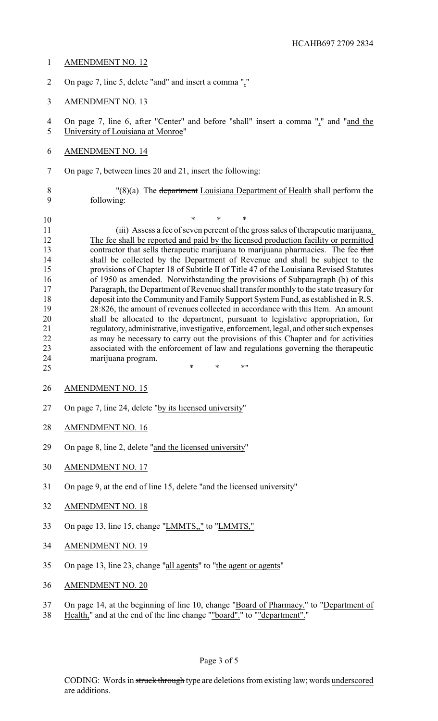### AMENDMENT NO. 12

- On page 7, line 5, delete "and" and insert a comma ","
- AMENDMENT NO. 13

 On page 7, line 6, after "Center" and before "shall" insert a comma "," and "and the University of Louisiana at Monroe"

- AMENDMENT NO. 14
- On page 7, between lines 20 and 21, insert the following:

 "(8)(a) The department Louisiana Department of Health shall perform the following:

 \* \* \* (iii) Assess a fee of seven percent of the gross sales of therapeutic marijuana. The fee shall be reported and paid by the licensed production facility or permitted 13 contractor that sells therapeutic marijuana to marijuana pharmacies. The fee that shall be collected by the Department of Revenue and shall be subject to the provisions of Chapter 18 of Subtitle II of Title 47 of the Louisiana Revised Statutes of 1950 as amended. Notwithstanding the provisions of Subparagraph (b) of this Paragraph, the Department of Revenue shall transfer monthly to the state treasury for deposit into the Community and Family Support System Fund, as established in R.S. 28:826, the amount of revenues collected in accordance with this Item. An amount shall be allocated to the department, pursuant to legislative appropriation, for regulatory, administrative, investigative, enforcement, legal, and other such expenses as may be necessary to carry out the provisions of this Chapter and for activities associated with the enforcement of law and regulations governing the therapeutic marijuana program.

- 25 \* \* \* \* \* \*
- AMENDMENT NO. 15
- On page 7, line 24, delete "by its licensed university"
- AMENDMENT NO. 16
- On page 8, line 2, delete "and the licensed university"
- AMENDMENT NO. 17
- On page 9, at the end of line 15, delete "and the licensed university"
- AMENDMENT NO. 18
- On page 13, line 15, change "LMMTS,," to "LMMTS,"
- AMENDMENT NO. 19
- On page 13, line 23, change "all agents" to "the agent or agents"
- AMENDMENT NO. 20
- On page 14, at the beginning of line 10, change "Board of Pharmacy." to "Department of
- 38 Health," and at the end of the line change ""board"." to ""department".'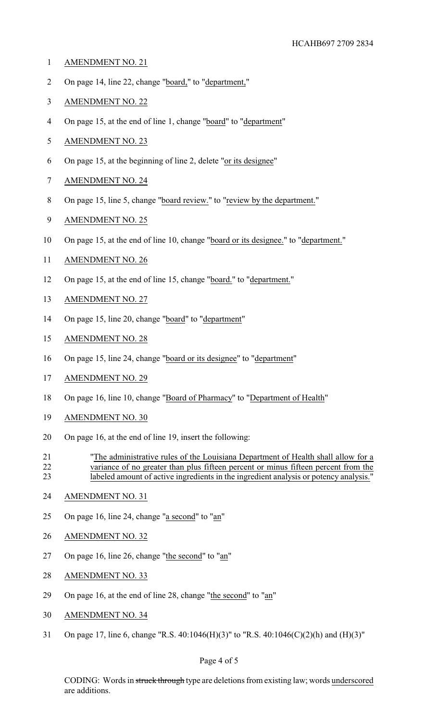- AMENDMENT NO. 21
- On page 14, line 22, change "board," to "department,"
- AMENDMENT NO. 22
- On page 15, at the end of line 1, change "board" to "department"
- AMENDMENT NO. 23
- On page 15, at the beginning of line 2, delete "or its designee"
- AMENDMENT NO. 24
- On page 15, line 5, change "board review." to "review by the department."
- AMENDMENT NO. 25
- On page 15, at the end of line 10, change "board or its designee." to "department."
- AMENDMENT NO. 26
- On page 15, at the end of line 15, change "board." to "department."
- AMENDMENT NO. 27
- On page 15, line 20, change "board" to "department"
- AMENDMENT NO. 28
- On page 15, line 24, change "board or its designee" to "department"
- AMENDMENT NO. 29
- On page 16, line 10, change "Board of Pharmacy" to "Department of Health"
- AMENDMENT NO. 30
- On page 16, at the end of line 19, insert the following:
- "The administrative rules of the Louisiana Department of Health shall allow for a variance of no greater than plus fifteen percent or minus fifteen percent from the labeled amount of active ingredients in the ingredient analysis or potency analysis."
- AMENDMENT NO. 31
- On page 16, line 24, change "a second" to "an"
- AMENDMENT NO. 32
- On page 16, line 26, change "the second" to "an"
- AMENDMENT NO. 33
- On page 16, at the end of line 28, change "the second" to "an"
- AMENDMENT NO. 34
- On page 17, line 6, change "R.S. 40:1046(H)(3)" to "R.S. 40:1046(C)(2)(h) and (H)(3)"

#### Page 4 of 5

CODING: Words in struck through type are deletions from existing law; words underscored are additions.